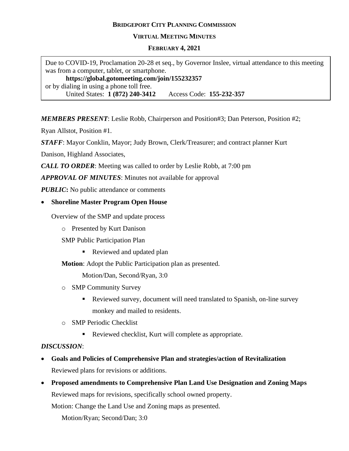# **BRIDGEPORT CITY PLANNING COMMISSION**

#### **VIRTUAL MEETING MINUTES**

#### **FEBRUARY 4, 2021**

Due to COVID-19, Proclamation 20-28 et seq., by Governor Inslee, virtual attendance to this meeting was from a computer, tablet, or smartphone. **https://global.gotomeeting.com/join/155232357** or by dialing in using a phone toll free. United States: **1 (872) 240-3412** Access Code: **155-232-357**

*MEMBERS PRESENT*: Leslie Robb, Chairperson and Position#3; Dan Peterson, Position #2;

Ryan Allstot, Position #1.

*STAFF*: Mayor Conklin, Mayor; Judy Brown, Clerk/Treasurer; and contract planner Kurt

Danison, Highland Associates,

*CALL TO ORDER*: Meeting was called to order by Leslie Robb, at 7:00 pm

*APPROVAL OF MINUTES*: Minutes not available for approval

*PUBLIC***:** No public attendance or comments

## • **Shoreline Master Program Open House**

Overview of the SMP and update process

o Presented by Kurt Danison

SMP Public Participation Plan

■ Reviewed and updated plan

**Motion**: Adopt the Public Participation plan as presented.

Motion/Dan, Second/Ryan, 3:0

- o SMP Community Survey
	- Reviewed survey, document will need translated to Spanish, on-line survey monkey and mailed to residents.
- o SMP Periodic Checklist
	- Reviewed checklist, Kurt will complete as appropriate.

## *DISCUSSION*:

- **Goals and Policies of Comprehensive Plan and strategies/action of Revitalization**  Reviewed plans for revisions or additions.
- **Proposed amendments to Comprehensive Plan Land Use Designation and Zoning Maps** Reviewed maps for revisions, specifically school owned property. Motion: Change the Land Use and Zoning maps as presented.

Motion/Ryan; Second/Dan; 3:0